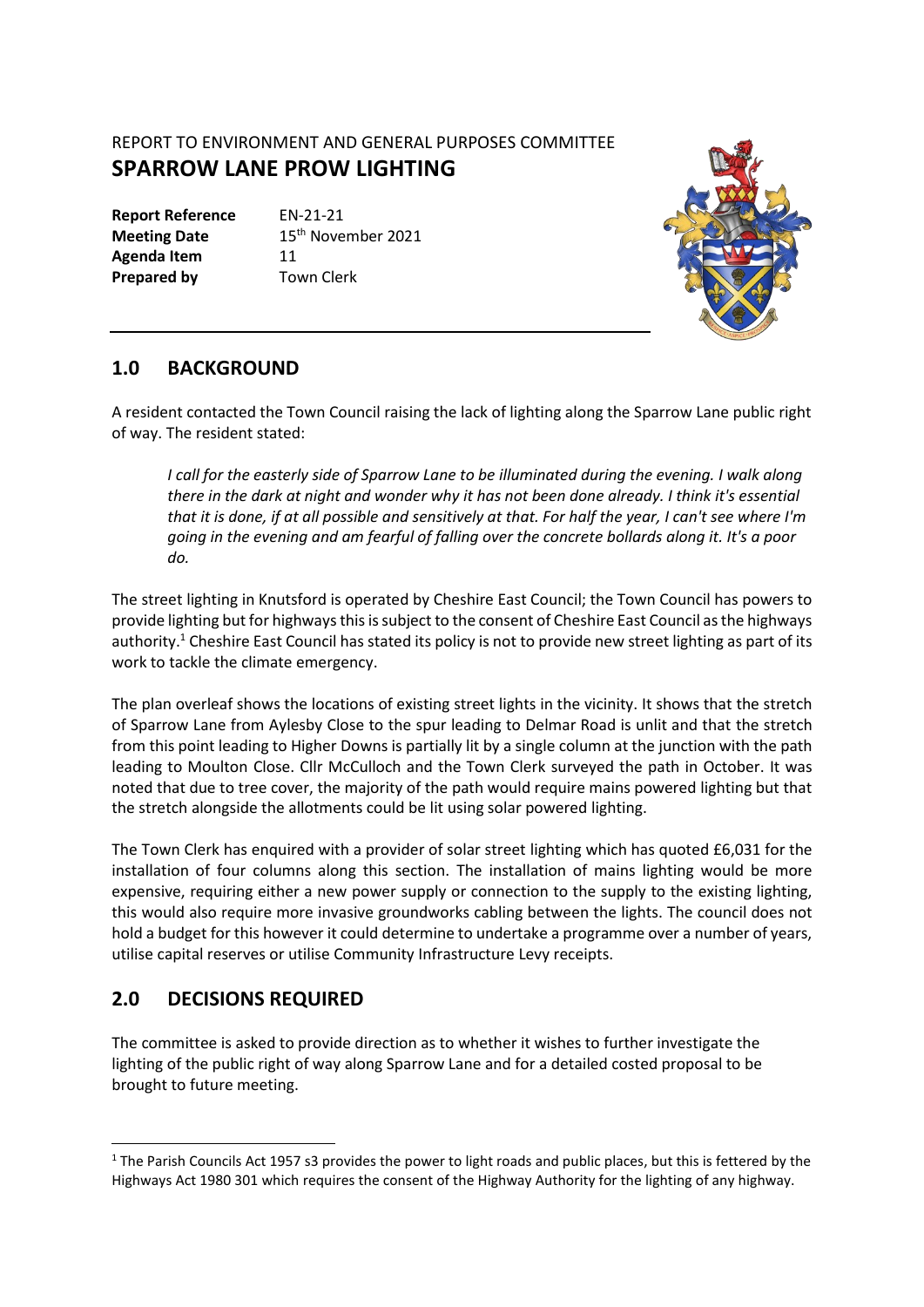## REPORT TO ENVIRONMENT AND GENERAL PURPOSES COMMITTEE **SPARROW LANE PROW LIGHTING**

**Report Reference** EN-21-21 Agenda Item 11 **Prepared by Town Clerk** 

**Meeting Date** 15<sup>th</sup> November 2021



## **1.0 BACKGROUND**

A resident contacted the Town Council raising the lack of lighting along the Sparrow Lane public right of way. The resident stated:

*I call for the easterly side of Sparrow Lane to be illuminated during the evening. I walk along there in the dark at night and wonder why it has not been done already. I think it's essential that it is done, if at all possible and sensitively at that. For half the year, I can't see where I'm going in the evening and am fearful of falling over the concrete bollards along it. It's a poor do.*

The street lighting in Knutsford is operated by Cheshire East Council; the Town Council has powers to provide lighting but for highwaysthis is subject to the consent of Cheshire East Council as the highways authority.<sup>1</sup> Cheshire East Council has stated its policy is not to provide new street lighting as part of its work to tackle the climate emergency.

The plan overleaf shows the locations of existing street lights in the vicinity. It shows that the stretch of Sparrow Lane from Aylesby Close to the spur leading to Delmar Road is unlit and that the stretch from this point leading to Higher Downs is partially lit by a single column at the junction with the path leading to Moulton Close. Cllr McCulloch and the Town Clerk surveyed the path in October. It was noted that due to tree cover, the majority of the path would require mains powered lighting but that the stretch alongside the allotments could be lit using solar powered lighting.

The Town Clerk has enquired with a provider of solar street lighting which has quoted £6,031 for the installation of four columns along this section. The installation of mains lighting would be more expensive, requiring either a new power supply or connection to the supply to the existing lighting, this would also require more invasive groundworks cabling between the lights. The council does not hold a budget for this however it could determine to undertake a programme over a number of years, utilise capital reserves or utilise Community Infrastructure Levy receipts.

## **2.0 DECISIONS REQUIRED**

The committee is asked to provide direction as to whether it wishes to further investigate the lighting of the public right of way along Sparrow Lane and for a detailed costed proposal to be brought to future meeting.

 $1$  The Parish Councils Act 1957 s3 provides the power to light roads and public places, but this is fettered by the Highways Act 1980 301 which requires the consent of the Highway Authority for the lighting of any highway.